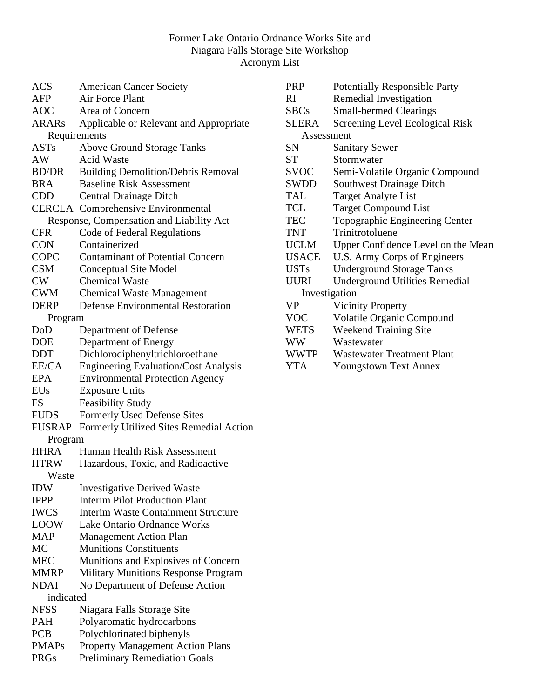### Former Lake Ontario Ordnance Works Site and Niagara Falls Storage Site Workshop Acronym List

| <b>ACS</b>    | <b>American Cancer Society</b>              |
|---------------|---------------------------------------------|
| AFP           | <b>Air Force Plant</b>                      |
| <b>AOC</b>    | Area of Concern                             |
| <b>ARARs</b>  | Applicable or Relevant and Appropriate      |
| Requirements  |                                             |
| <b>ASTs</b>   | <b>Above Ground Storage Tanks</b>           |
| AW            | <b>Acid Waste</b>                           |
| <b>BD/DR</b>  | <b>Building Demolition/Debris Removal</b>   |
| <b>BRA</b>    | <b>Baseline Risk Assessment</b>             |
| <b>CDD</b>    | <b>Central Drainage Ditch</b>               |
|               | <b>CERCLA</b> Comprehensive Environmental   |
|               | Response, Compensation and Liability Act    |
| <b>CFR</b>    | Code of Federal Regulations                 |
| <b>CON</b>    | Containerized                               |
| <b>COPC</b>   | <b>Contaminant of Potential Concern</b>     |
| <b>CSM</b>    | <b>Conceptual Site Model</b>                |
| CW            | <b>Chemical Waste</b>                       |
| <b>CWM</b>    | <b>Chemical Waste Management</b>            |
| DERP          | <b>Defense Environmental Restoration</b>    |
| Program       |                                             |
| DoD           | Department of Defense                       |
| <b>DOE</b>    | Department of Energy                        |
| <b>DDT</b>    | Dichlorodiphenyltrichloroethane             |
| EE/CA         | <b>Engineering Evaluation/Cost Analysis</b> |
| <b>EPA</b>    | <b>Environmental Protection Agency</b>      |
| <b>EUs</b>    | <b>Exposure Units</b>                       |
| <b>FS</b>     | <b>Feasibility Study</b>                    |
| <b>FUDS</b>   | <b>Formerly Used Defense Sites</b>          |
| <b>FUSRAP</b> | Formerly Utilized Sites Remedial Action     |
| Program       |                                             |
| <b>HHRA</b>   | Human Health Risk Assessment                |
| <b>HTRW</b>   | Hazardous, Toxic, and Radioactive           |
| Waste         |                                             |
| <b>IDW</b>    | <b>Investigative Derived Waste</b>          |
| <b>IPPP</b>   | <b>Interim Pilot Production Plant</b>       |
| <b>IWCS</b>   | <b>Interim Waste Containment Structure</b>  |
| <b>LOOW</b>   | <b>Lake Ontario Ordnance Works</b>          |
| MAP           | <b>Management Action Plan</b>               |
| MC            | <b>Munitions Constituents</b>               |
| <b>MEC</b>    | Munitions and Explosives of Concern         |
| <b>MMRP</b>   | <b>Military Munitions Response Program</b>  |
| <b>NDAI</b>   | No Department of Defense Action             |
| indicated     |                                             |
| <b>NFSS</b>   | Niagara Falls Storage Site                  |
| <b>PAH</b>    | Polyaromatic hydrocarbons                   |
| <b>PCB</b>    | Polychlorinated biphenyls                   |
| <b>PMAPs</b>  | <b>Property Management Action Plans</b>     |
| <b>PRGs</b>   | <b>Preliminary Remediation Goals</b>        |
|               |                                             |

| <b>PRP</b>   | <b>Potentially Responsible Party</b>  |
|--------------|---------------------------------------|
| RI           | Remedial Investigation                |
| <b>SBCs</b>  | <b>Small-bermed Clearings</b>         |
| <b>SLERA</b> | Screening Level Ecological Risk       |
| Assessment   |                                       |
| SΝ           | <b>Sanitary Sewer</b>                 |
| <b>ST</b>    | Stormwater                            |
| <b>SVOC</b>  | Semi-Volatile Organic Compound        |
| SWDD         | <b>Southwest Drainage Ditch</b>       |
| <b>TAL</b>   | <b>Target Analyte List</b>            |
| <b>TCL</b>   | <b>Target Compound List</b>           |
| <b>TEC</b>   | <b>Topographic Engineering Center</b> |
| <b>TNT</b>   | Trinitrotoluene                       |
| <b>UCLM</b>  | Upper Confidence Level on the Mean    |
| USACE        | U.S. Army Corps of Engineers          |
| <b>USTs</b>  | <b>Underground Storage Tanks</b>      |
| UURI         | <b>Underground Utilities Remedial</b> |
|              | Investigation                         |
| <b>VP</b>    | <b>Vicinity Property</b>              |
| <b>VOC</b>   | <b>Volatile Organic Compound</b>      |
| <b>WETS</b>  | <b>Weekend Training Site</b>          |
| WW           | Wastewater                            |
| <b>WWTP</b>  | <b>Wastewater Treatment Plant</b>     |

YTA Youngstown Text Annex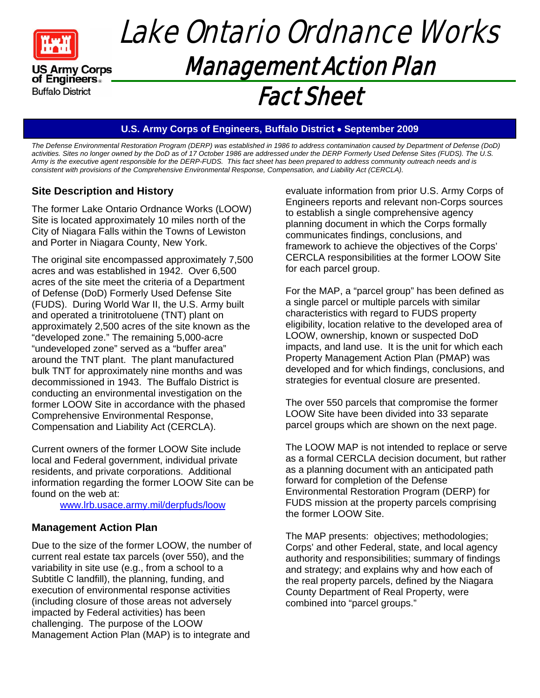

of Engineers. **Buffalo District** 

## Lake Ontario Ordnance Works Management Action Plan Fact Sheet

#### **U.S. Army Corps of Engineers, Buffalo District September 2009**

*The Defense Environmental Restoration Program (DERP) was established in 1986 to address contamination caused by Department of Defense (DoD) activities. Sites no longer owned by the DoD as of 17 October 1986 are addressed under the DERP Formerly Used Defense Sites (FUDS). The U.S. Army is the executive agent responsible for the DERP-FUDS. This fact sheet has been prepared to address community outreach needs and is consistent with provisions of the Comprehensive Environmental Response, Compensation, and Liability Act (CERCLA).* 

### **Site Description and History**

The former Lake Ontario Ordnance Works (LOOW) Site is located approximately 10 miles north of the City of Niagara Falls within the Towns of Lewiston and Porter in Niagara County, New York.

The original site encompassed approximately 7,500 acres and was established in 1942. Over 6,500 acres of the site meet the criteria of a Department of Defense (DoD) Formerly Used Defense Site (FUDS). During World War II, the U.S. Army built and operated a trinitrotoluene (TNT) plant on approximately 2,500 acres of the site known as the "developed zone." The remaining 5,000-acre "undeveloped zone" served as a "buffer area" around the TNT plant. The plant manufactured bulk TNT for approximately nine months and was decommissioned in 1943. The Buffalo District is conducting an environmental investigation on the former LOOW Site in accordance with the phased Comprehensive Environmental Response, Compensation and Liability Act (CERCLA).

Current owners of the former LOOW Site include local and Federal government, individual private residents, and private corporations. Additional information regarding the former LOOW Site can be found on the web at:

www.lrb.usace.army.mil/derpfuds/loow

#### **Management Action Plan**

Due to the size of the former LOOW, the number of current real estate tax parcels (over 550), and the variability in site use (e.g., from a school to a Subtitle C landfill), the planning, funding, and execution of environmental response activities (including closure of those areas not adversely impacted by Federal activities) has been challenging. The purpose of the LOOW Management Action Plan (MAP) is to integrate and

evaluate information from prior U.S. Army Corps of Engineers reports and relevant non-Corps sources to establish a single comprehensive agency planning document in which the Corps formally communicates findings, conclusions, and framework to achieve the objectives of the Corps' CERCLA responsibilities at the former LOOW Site for each parcel group.

For the MAP, a "parcel group" has been defined as a single parcel or multiple parcels with similar characteristics with regard to FUDS property eligibility, location relative to the developed area of LOOW, ownership, known or suspected DoD impacts, and land use. It is the unit for which each Property Management Action Plan (PMAP) was developed and for which findings, conclusions, and strategies for eventual closure are presented.

The over 550 parcels that compromise the former LOOW Site have been divided into 33 separate parcel groups which are shown on the next page.

The LOOW MAP is not intended to replace or serve as a formal CERCLA decision document, but rather as a planning document with an anticipated path forward for completion of the Defense Environmental Restoration Program (DERP) for FUDS mission at the property parcels comprising the former LOOW Site.

The MAP presents: objectives; methodologies; Corps' and other Federal, state, and local agency authority and responsibilities; summary of findings and strategy; and explains why and how each of the real property parcels, defined by the Niagara County Department of Real Property, were combined into "parcel groups."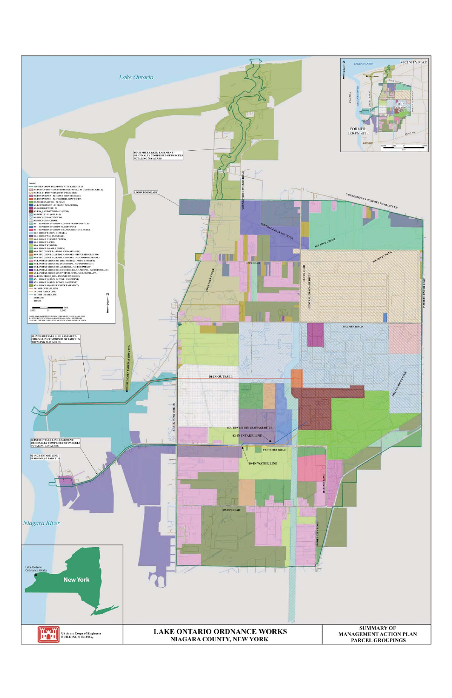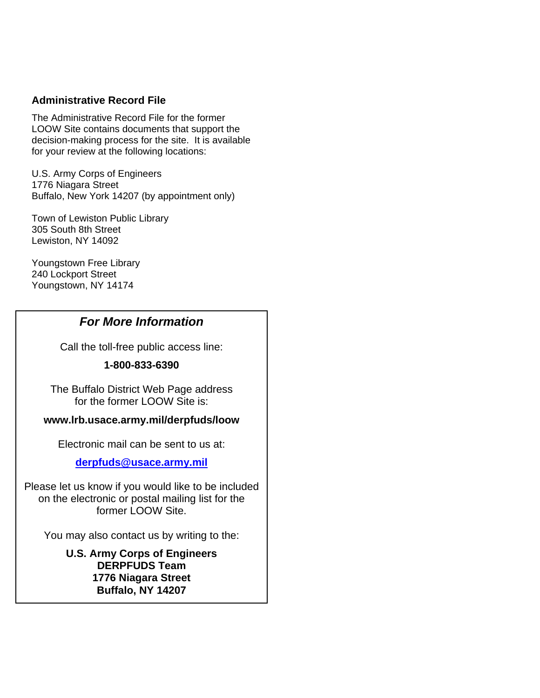#### **Administrative Record File**

The Administrative Record File for the former LOOW Site contains documents that support the decision-making process for the site. It is available for your review at the following locations:

U.S. Army Corps of Engineers 1776 Niagara Street Buffalo, New York 14207 (by appointment only)

Town of Lewiston Public Library 305 South 8th Street Lewiston, NY 14092

Youngstown Free Library 240 Lockport Street Youngstown, NY 14174

### *For More Information*

Call the toll-free public access line:

#### **1-800-833-6390**

The Buffalo District Web Page address for the former LOOW Site is:

#### **www.lrb.usace.army.mil/derpfuds/loow**

Electronic mail can be sent to us at:

#### **derpfuds@usace.army.mil**

Please let us know if you would like to be included on the electronic or postal mailing list for the former LOOW Site.

You may also contact us by writing to the:

### **U.S. Army Corps of Engineers DERPFUDS Team 1776 Niagara Street Buffalo, NY 14207**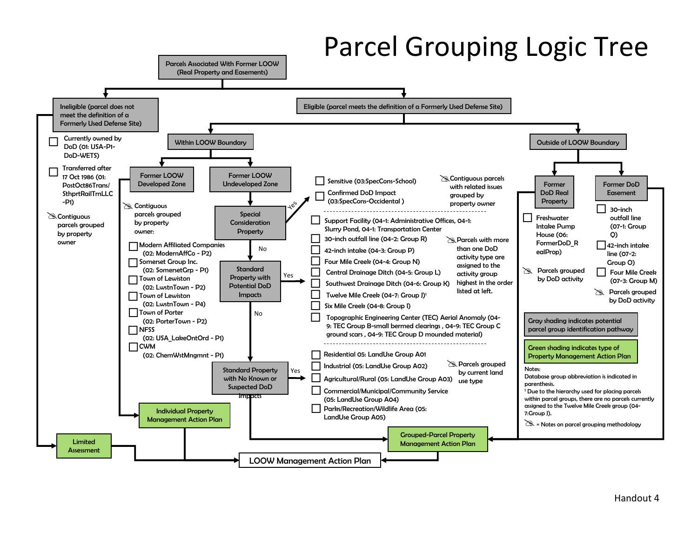# Parcel Grouping Logic Tree

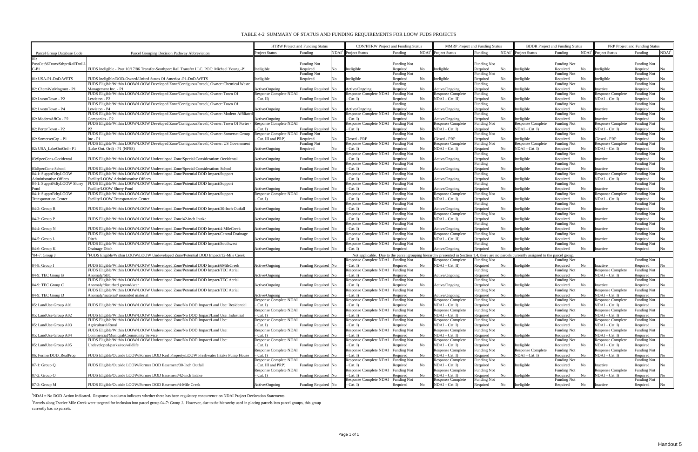#### TABLE 4-2 SUMMARY OF STATUS AND FUNDING REQUIREMENTS FOR LOOW FUDS PROJECTS

<sup>2</sup>Parcels along Twelve Mile Creek were targeted for inclusion into parcel group 04-7: Group J. However, due to the hierarchy used in placing parcels into parcel groups, this group currently has no parcels.

|                                                               |                                                                                                           |                                           | <b>CON/HTRW Project and Funding Status</b><br><b>HTRW</b> Project and Funding Status<br><b>MMRP</b> Project and Funding Status |     |                                                   |                                |                         |                                                                                                                                            |                                |               | <b>BDDR</b> Project and Funding Status     | PRP Project and Funding Status            |                                              |                                |                   |
|---------------------------------------------------------------|-----------------------------------------------------------------------------------------------------------|-------------------------------------------|--------------------------------------------------------------------------------------------------------------------------------|-----|---------------------------------------------------|--------------------------------|-------------------------|--------------------------------------------------------------------------------------------------------------------------------------------|--------------------------------|---------------|--------------------------------------------|-------------------------------------------|----------------------------------------------|--------------------------------|-------------------|
| Parcel Group Database Code                                    | Parcel Grouping Decision Pathway Abbreviation                                                             | Project Status                            | Funding                                                                                                                        |     | NDAI <sup>1</sup> Project Status                  | Funding                        |                         | NDAI <sup>1</sup> Project Status                                                                                                           | Funding                        |               | NDAI <sup>1</sup> Project Status           | Funding                                   | NDAI <sup>1</sup> Project Status             | Funding                        | NDAI <sup>1</sup> |
|                                                               |                                                                                                           |                                           |                                                                                                                                |     |                                                   |                                |                         |                                                                                                                                            |                                |               |                                            |                                           |                                              |                                |                   |
| PostOct86Trans/SthprtRailTrnLL                                |                                                                                                           |                                           | <b>Funding Not</b>                                                                                                             |     |                                                   | <b>Funding Not</b>             |                         |                                                                                                                                            | <b>Funding Not</b>             |               |                                            | <b>Funding Not</b>                        |                                              | Funding Not                    |                   |
| C-P1                                                          | FUDS Ineligible - Post 10/17/86 Transfer-Southport Rail Transfer LLC. POC: Michael Young -P1              | neligible                                 | Required<br>Funding Not                                                                                                        | No  | Ineligible                                        | Required<br><b>Funding Not</b> | Nο                      | Ineligible                                                                                                                                 | Required<br><b>Funding Not</b> | No            | Ineligibk                                  | Required<br>No<br><b>Funding Not</b>      | Ineligible                                   | Required<br>Funding Not        | No                |
| 01: USA-P1-DoD-WETS                                           | FUDS Ineligible/DOD-Owned/United States Of America -P1-DoD-WETS                                           | neligible                                 | Required                                                                                                                       | No  | Ineligible                                        | Required                       | No                      | Ineligible                                                                                                                                 | Required                       | No            | Ineligible                                 | Required<br>No.                           | Ineligible                                   | Required                       | No                |
|                                                               | FUDS Eligible/Within LOOW/LOOW Developed Zone/ContiguousParcel/, Owner: Chemical Waste                    |                                           |                                                                                                                                |     |                                                   | Funding                        |                         |                                                                                                                                            | Funding                        |               |                                            | Funding Not                               |                                              | Funding Not                    |                   |
| $ 02:$ Chem WstMngmnt - P1                                    | Management Inc. - P1                                                                                      | Active/Ongoing                            | Funding Required No                                                                                                            |     | Active/Ongoing                                    | Required                       | N٥                      | Active/Ongoing                                                                                                                             | Required                       | No            | Ineligible                                 | Required<br>No.                           | Inactive                                     | Required                       | No                |
| 02: LwstnTown - P2                                            | FUDS Eligible/Within LOOW/LOOW Developed Zone/ContiguousParcel/, Owner: Town Of<br>Lewiston - P2          | Response Complete NDAI<br>Cat. II)        | Funding Required No                                                                                                            |     | <b>Response Complete NDAI</b><br>$- Cat. I)$      | <b>Funding Not</b><br>Required | Nο                      | <b>Response Complete</b><br>$NDAI - Cat.$ II)                                                                                              | Funding<br>Required            | No            | Ineligible                                 | Funding Not<br>Required<br>N <sub>0</sub> | <b>Response Complete</b><br>$NDAI - Cat. I)$ | Funding Not<br>Required        | No                |
|                                                               | FUDS Eligible/Within LOOW/LOOW Developed Zone/ContiguousParcel/, Owner: Town Of                           |                                           |                                                                                                                                |     |                                                   | Funding                        |                         |                                                                                                                                            | Funding                        |               |                                            | <b>Funding Not</b>                        |                                              | <b>Funding Not</b>             |                   |
| 02: LwstnTown - P4                                            | Lewiston - P4                                                                                             | Active/Ongoing                            | Funding Required No                                                                                                            |     | Active/Ongoing                                    | Required                       |                         | Active/Ongoing                                                                                                                             | Required                       | No            | Ineligible                                 | Required<br>No.                           | Inactive                                     | Required                       | No                |
|                                                               | FUDS Eligible/Within LOOW/LOOW Developed Zone/ContiguousParcel/, Owner: Modern Affiliated                 |                                           |                                                                                                                                |     | <b>Response Complete NDAI</b>                     | <b>Funding Not</b>             |                         |                                                                                                                                            | Funding                        |               |                                            | <b>Funding Not</b>                        |                                              | <b>Funding Not</b>             |                   |
| 02: ModernAffCo - P2                                          | Companies - P2                                                                                            | Active/Ongoing                            | Funding Required No                                                                                                            |     | $- Cat. I)$                                       | Required                       | $\overline{N}_{\Omega}$ | Active/Ongoing                                                                                                                             | Required                       | No            | Ineligible                                 | Required<br>No.                           | Inactive                                     | Required                       | No                |
| 02: PorterTown - P2                                           | FUDS Eligible/Within LOOW/LOOW Developed Zone/ContiguousParcel/, Owner: Town Of Porter                    | <b>Response Complete NDAI</b><br>$Cat.$ D | Funding Required No                                                                                                            |     | Response Complete NDAI<br>- Cat. I)               | <b>Funding Not</b><br>Required | N٥                      | <b>Response Complete</b><br>$NDAI - Cat. I)$                                                                                               | <b>Funding Not</b><br>Required | No            | <b>Response Complete</b><br>NDAI – Cat. I) | Funding Not<br>Required<br>N <sub>o</sub> | <b>Response Complete</b><br>$NDAI - Cat. I)$ | Funding Not<br>Required        | No                |
|                                                               | FUDS Eligible/Within LOOW/LOOW Developed Zone/ContiguousParcel/, Owner: Somerset Group                    | <b>Response Complete NDAI</b>             | <b>Funding Not</b>                                                                                                             |     |                                                   | <b>Funding Not</b>             |                         |                                                                                                                                            | <b>Funding Not</b>             |               |                                            | <b>Funding Not</b>                        |                                              | <b>Funding Not</b>             |                   |
| 02: SomersetGrp - P1                                          | $Inc - P1$                                                                                                | Cat. III and PRP)                         | Required                                                                                                                       | No. | Closed - PRP                                      | Required                       | N٥                      | Closed - PRP                                                                                                                               | Required                       | No            | Ineligible                                 | Required<br>N <sub>o</sub>                | Closed - PRP                                 | Required                       | Nο                |
|                                                               | FUDS Eligible/Within LOOW/LOOW Developed Zone/ContiguousParcel/, Owner: US Government                     |                                           | <b>Funding Not</b>                                                                                                             |     | Response Complete NDAI                            | <b>Funding Not</b>             |                         | <b>Response Complete</b>                                                                                                                   | <b>Funding Not</b>             |               | <b>Response Complete</b>                   | unding Not                                | <b>Response Complete</b>                     | unding Not                     |                   |
| 02: USA LakeOntOrd - P1                                       | (Lake Ont. Ord) - P1 (NFSS)                                                                               | Active/Ongoing                            | Required                                                                                                                       | No. | $- Cat. I)$                                       | Required                       | N٥                      | $NDAI - Cat. I)$                                                                                                                           | Required                       | No            | $NDAI - Cat. I)$                           | Required<br>No.                           | $NDAI - Cat. I)$                             | Required                       | No                |
| 03:SpecCons-Occidental                                        | FUDS Eligible/Within LOOW/LOOW Undeveloped Zone/Special Consideration: Occidental                         | Active/Ongoing                            | Funding Required No                                                                                                            |     | <b>Response Complete NDAI</b><br>$- Cat. I)$      | <b>Funding Not</b><br>Required | Nο                      | Active/Ongoing                                                                                                                             | Funding<br>Required            | No            | Ineligible                                 | Funding Not<br>Required<br>No             | Inactive                                     | Funding Not<br>Required        | No                |
|                                                               |                                                                                                           |                                           |                                                                                                                                |     | Response Complete NDAI Funding Not                |                                |                         |                                                                                                                                            | Funding                        |               |                                            | Funding Not                               |                                              | Funding Not                    |                   |
| 03:SpecCons-School                                            | FUDS Eligible/Within LOOW/LOOW Undeveloped Zone/Special Consideration: School                             | Active/Ongoing                            | Funding Required No                                                                                                            |     | $- Cat. I)$                                       | Required                       |                         | Active/Ongoing                                                                                                                             | Required                       | No            | Ineligible                                 | Required<br>No.                           | Inactive                                     | Required                       | No                |
| 04-1: SupprtFcltyLOOW                                         | FUDS Eligible/Within LOOW/LOOW Undeveloped Zone/Potential DOD Impact/Support                              |                                           |                                                                                                                                |     | Response Complete NDAI                            | <b>Funding Not</b>             |                         |                                                                                                                                            | Funding                        |               |                                            | Funding Not                               | <b>Response Complete</b>                     | unding Not                     |                   |
| <b>Administrative Offices</b><br>04-1: SupprtFcltyLOOW Slurry | Facility/LOOW Administrative Offices                                                                      | Active/Ongoing                            | Funding Required No                                                                                                            |     | - Cat. I)                                         | Required                       | N٥                      | Active/Ongoing                                                                                                                             | Required                       | No            | Ineligible                                 | Required<br>No                            | $NDAI - Cat.$ D                              | Required                       | No                |
| Pond                                                          | FUDS Eligible/Within LOOW/LOOW Undeveloped Zone/Potential DOD Impact/Support<br>Facility/LOOW Slurry Pond | Active/Ongoing                            | Funding Required No                                                                                                            |     | <b>Response Complete NDAI</b><br>$- Cat. I)$      | <b>Funding Not</b><br>Required | Nο                      | Active/Ongoing                                                                                                                             | Funding<br>Required            | No            | Ineligible                                 | <b>Funding Not</b><br>Required<br>No.     | Inactive                                     | <b>Funding Not</b><br>Required | No                |
| 04-1: SupprtFcltyLOOW                                         | FUDS Eligible/Within LOOW/LOOW Undeveloped Zone/Potential DOD Impact/Support                              | <b>Response Complete NDAI</b>             |                                                                                                                                |     | Response Complete NDAI                            | <b>Funding Not</b>             |                         | <b>Response Complete</b>                                                                                                                   | <b>Funding Not</b>             |               |                                            | Funding Not                               | <b>Response Complete</b>                     | unding Not                     |                   |
| <b>Transportation Center</b>                                  | Facility/LOOW Transportation Center                                                                       | Cat. I)                                   | Funding Required No.                                                                                                           |     | $- Cat. I)$                                       | Required                       |                         | $NDAI - Cat. I)$                                                                                                                           | Required                       | No            | Ineligible                                 | Required<br>No                            | $NDAI - Cat. I)$                             | Required                       | No                |
|                                                               |                                                                                                           |                                           |                                                                                                                                |     | <b>Response Complete NDAI</b>                     | <b>Funding Not</b>             |                         |                                                                                                                                            | Funding                        |               |                                            | <b>Funding Not</b>                        |                                              | <b>Funding Not</b>             |                   |
| $04-2$ : Group R                                              | FUDS Eligible/Within LOOW/LOOW Undeveloped Zone/Potential DOD Impact/30-Inch Outfall                      | Active/Ongoing                            | Funding Required No                                                                                                            |     | $- Cat. I)$<br><b>Response Complete NDAI</b>      | Required<br><b>Funding Not</b> | N٥                      | Active/Ongoing<br><b>Response Complete</b>                                                                                                 | Required<br><b>Funding Not</b> | No            | Ineligible                                 | Required<br>No.<br><b>Funding Not</b>     | Inactive                                     | Required<br>Funding Not        | No                |
| $04-3$ : Group P                                              | FUDS Eligible/Within LOOW/LOOW Undeveloped Zone/42-inch Intake                                            | Active/Ongoing                            | Funding Required No                                                                                                            |     | $- Cat. I)$                                       | Required                       | Nο                      | $NDAI - Cat. I)$                                                                                                                           | Required                       | No            | Ineligible                                 | Required<br>No.                           | Inactive                                     | Required                       | No                |
|                                                               |                                                                                                           |                                           |                                                                                                                                |     | <b>Response Complete NDAI</b>                     | <b>Funding Not</b>             |                         |                                                                                                                                            | Funding                        |               |                                            | <b>Funding Not</b>                        |                                              | Funding Not                    |                   |
| 04-4: Group $N$                                               | FUDS Eligible/Within LOOW/LOOW Undeveloped Zone/Potential DOD Impact/4-MileCreek                          | Active/Ongoing                            | Funding Required No                                                                                                            |     | $- Cat. I)$                                       | Required                       | N٥                      | Active/Ongoing                                                                                                                             | Required                       | No            | Ineligible                                 | No<br>Required                            | Inactive                                     | Required                       | No                |
|                                                               | FUDS Eligible/Within LOOW/LOOW Undeveloped Zone/Potential DOD Impact/Central Drainage                     |                                           |                                                                                                                                |     | <b>Response Complete NDAI</b>                     | <b>Funding Not</b>             |                         | <b>Response Complete</b>                                                                                                                   | <b>Funding Not</b>             |               |                                            | <b>Funding Not</b>                        |                                              | Funding Not                    |                   |
| 04-5: Group L                                                 | Ditch<br>FUDS Eligible/Within LOOW/LOOW Undeveloped Zone/Potential DOD Impact/Southwest                   | Active/Ongoing                            | Funding Required No                                                                                                            |     | $- Cat. I)$<br><b>Response Complete NDAI</b>      | Required<br><b>Funding Not</b> | N٥                      | NDAI - Cat. II)                                                                                                                            | Required<br>Funding            | No            | Ineligible                                 | Required<br>No.<br><b>Funding Not</b>     | Inactive                                     | Required<br><b>Funding Not</b> | No                |
| $04-6$ : Group K                                              | Drainage Ditch                                                                                            | Active/Ongoing                            | Funding Required No                                                                                                            |     | - Cat. I)                                         | Required                       | No                      | Active/Ongoing                                                                                                                             | Required                       | No.           | Ineligible                                 | Required<br>No.                           | Inactive                                     | Required                       | No                |
| $2$ 04-7: Group J                                             | FUDS Eligible/Within LOOW/LOOW Undeveloped Zone/Potential DOD Impact/12-Mile Creek                        |                                           |                                                                                                                                |     |                                                   |                                |                         | Not applicable. Due to the parcel grouping hierarchy presented in Section 1.4, there are no parcels currently assigned to the parcel group |                                |               |                                            |                                           |                                              |                                |                   |
|                                                               |                                                                                                           |                                           |                                                                                                                                |     | Response Complete NDAI Funding Not                |                                |                         | <b>Response Complete</b>                                                                                                                   | <b>Funding Not</b>             |               |                                            | <b>Funding Not</b>                        |                                              | Funding Not                    |                   |
| $04-8$ : Group I                                              | FUDS Eligible/Within LOOW/LOOW Undeveloped Zone/Potential DOD Impact/6MileCreek                           | Active/Ongoing                            | Funding Required No                                                                                                            |     | $- Cat. I)$                                       | Required                       | No                      | NDAI – Cat. II)                                                                                                                            | Required                       | <b>No</b>     | Ineligible                                 | Required<br>No.                           | Inactive                                     | Required                       | No                |
|                                                               | FUDS Eligible/Within LOOW/LOOW Undeveloped Zone/Potential DOD Impact/TEC Aerial                           |                                           |                                                                                                                                |     | <b>Response Complete NDAI</b>                     | Funding Not                    |                         |                                                                                                                                            | Funding                        |               |                                            | <b>Funding Not</b>                        | <b>Response Complete</b>                     | Funding Not                    |                   |
| $04-9$ : TEC Group B                                          | Anomaly/SBC<br>FUDS Eligible/Within LOOW/LOOW Undeveloped Zone/Potential DOD Impact/TEC Aerial            | Active/Ongoing                            | Funding Required No                                                                                                            |     | $- Cat. I)$<br>Response Complete NDAI Funding Not | Required                       | Nο                      | Active/Ongoing                                                                                                                             | Required<br><b>Funding Not</b> | No            | Ineligible                                 | Required<br>No<br>Funding Not             | $NDAI - Cat. I)$                             | Required<br>Funding Not        | No                |
| 04-9: TEC Group C                                             | Anomaly/disturbed ground/scar                                                                             | Active/Ongoing                            | unding Required No                                                                                                             |     | $-Cat. I)$                                        | Required                       |                         | Active/Ongoing                                                                                                                             | Required                       | No            | Ineligible                                 | Required                                  | nactive                                      | Required                       | No                |
|                                                               | FUDS Eligible/Within LOOW/LOOW Undeveloped Zone/Potential DOD Impact/TEC Aerial                           |                                           |                                                                                                                                |     | <b>Response Complete NDAI</b>                     | <b>Funding Not</b>             |                         |                                                                                                                                            | <b>Funding Not</b>             |               |                                            | Funding Not                               | <b>Response Complete</b>                     | Funding Not                    |                   |
| 04-9: TEC Group D                                             | Anomaly/material/mounded material                                                                         | Active/Ongoing                            | Funding Required No                                                                                                            |     | $- Cat. I)$                                       | Required                       | No                      | Active/Ongoing                                                                                                                             | Required                       | No            | Ineligible                                 | Required<br>No.                           | $NDAI - Cat. I)$                             | Required                       |                   |
| 05: LandUse Group A01                                         | FUDS Eligible/Within LOOW/LOOW Undeveloped Zone/No DOD Impact/Land Use: Residential                       | <b>Response Complete NDAI</b><br>Cat. I)  | Funding Required No                                                                                                            |     | Response Complete NDAI<br>$- Cat. I)$             | <b>Funding Not</b><br>Required | No                      | <b>Response Complete</b><br>$NDAI - Cat. I)$                                                                                               | <b>Funding Not</b><br>Required | $\mathbf{No}$ | Ineligible                                 | <b>Funding Not</b><br>Required<br>No      | <b>Response Complete</b><br>$NDAI - Cat. I)$ | <b>Funding Not</b><br>Required | No                |
|                                                               |                                                                                                           | <b>Response Complete NDA</b>              |                                                                                                                                |     | Response Complete NDAI Funding Not                |                                |                         | <b>Response Complete</b>                                                                                                                   | <b>Funding Not</b>             |               |                                            | <b>Funding Not</b>                        | <b>Response Complete</b>                     | Funding Not                    |                   |
| 05: LandUse Group A02                                         | FUDS Eligible/Within LOOW/LOOW Undeveloped Zone/No DOD Impact/Land Use: Industrial                        | Cat. I)                                   | Funding Required No                                                                                                            |     | $- Cat. I)$                                       | Required                       | Nο                      | $NDAI - Cat. I)$                                                                                                                           | Required                       | No            | Ineligible                                 | Required<br>No                            | $NDAI - Cat. I)$                             | Required                       | No                |
|                                                               | FUDS Eligible/Within LOOW/LOOW Undeveloped Zone/No DOD Impact/Land Use:                                   | Response Complete NDAI                    |                                                                                                                                |     | <b>Response Complete NDAI</b>                     | <b>Funding Not</b>             |                         | <b>Response Complete</b>                                                                                                                   | <b>Funding Not</b>             |               |                                            | <b>Funding Not</b>                        | <b>Response Complete</b>                     | Funding Not                    |                   |
| 05: LandUse Group A03                                         | Agricultural/Rural<br>FUDS Eligible/Within LOOW/LOOW Undeveloped Zone/No DOD Impact/Land Use:             | Cat. I)<br><b>Response Complete NDAI</b>  | Funding Required No                                                                                                            |     | $- Cat. I)$<br>Response Complete NDAI Funding Not | Required                       | No                      | $NDAI - Cat. I)$<br><b>Response Complete</b>                                                                                               | Required<br><b>Funding Not</b> | No            | Ineligible                                 | Required<br>No<br><b>Funding Not</b>      | $NDAI - Cat. I)$<br><b>Response Complete</b> | Required<br>Funding Not        | No                |
| 05: LandUse Group A04                                         | Commercial/Municpal/Community Service                                                                     | Cat. I)                                   | Funding Required No                                                                                                            |     | $- Cat. I)$                                       | Required                       | No                      | $NDAI - Cat. I)$                                                                                                                           | Required                       | No            | Ineligible                                 | Required<br>No                            | $NDAI - Cat. I)$                             | Required                       | No                |
|                                                               | FUDS Eligible/Within LOOW/LOOW Undeveloped Zone/No DOD Impact/Land Use:                                   | <b>Response Complete NDAI</b>             |                                                                                                                                |     | <b>Response Complete NDAI</b>                     | <b>Funding Not</b>             |                         | <b>Response Complete</b>                                                                                                                   | <b>Funding Not</b>             |               |                                            | <b>Funding Not</b>                        | <b>Response Complete</b>                     | Funding Not                    |                   |
| 05: LandUse Group A05                                         | Jndeveloped/parks/rec/wildlife                                                                            | Cat. I)                                   | Funding Required No                                                                                                            |     | $- Cat. I)$                                       | Required                       |                         | $NDAI - Cat. I)$                                                                                                                           | Required                       | No.           | Ineligible                                 | Required<br>No.                           | $NDAI - Cat. I)$                             | Required                       | No                |
|                                                               |                                                                                                           | <b>Response Complete NDAI</b>             |                                                                                                                                |     | Response Complete NDAI Funding Not                |                                |                         | <b>Response Complete</b>                                                                                                                   | <b>Funding Not</b>             |               | <b>Response Complete</b>                   | <b>Funding Not</b>                        | <b>Response Complete</b>                     | Funding Not                    |                   |
| 06: FormerDOD_RealProp                                        | FUDS Eligible/Outside LOOW/Former DOD Real Property/LOOW Freshwater Intake Pump House                     | $\cdot$ Cat. I)<br>Response Complete NDAI | Funding Required No                                                                                                            |     | $- Cat. I)$<br><b>Response Complete NDAI</b>      | Required<br><b>Funding Not</b> | Nο                      | $NDAI - Cat. I)$<br><b>Response Complete</b>                                                                                               | Required<br>Funding Not        | No            | $NDAI - Cat. I)$                           | Required<br>No<br><b>Funding Not</b>      | $NDAI - Cat. I)$                             | Required<br>Funding Not        | No                |
| $07-1$ : Group Q                                              | FUDS Eligible/Outside LOOW/Former DOD Easement/30-Inch Outfall                                            | Cat. III and PRP)                         | Funding Required No                                                                                                            |     | $- Cat. I)$                                       | Required                       |                         | $NDAI - Cat.$ I)                                                                                                                           | Required                       | No            | Ineligible                                 | Required<br>No                            | Inactive                                     | Required                       | No                |
|                                                               |                                                                                                           | Response Complete NDAI                    |                                                                                                                                |     | Response Complete NDAI Funding Not                |                                |                         | <b>Response Complete</b>                                                                                                                   | <b>Funding Not</b>             |               |                                            | <b>Funding Not</b>                        | <b>Response Complete</b>                     | <b>Funding Not</b>             |                   |
| $07-2$ : Group O                                              | FUDS Eligible/Outside LOOW/Former DOD Easement/42-inch Intake                                             | Cat. I)                                   | Funding Required No                                                                                                            |     | $- Cat.$ I)                                       | Required                       | N٥                      | $NDAI - Cat. I)$                                                                                                                           | Required                       | No            | Ineligible                                 | Required<br>No                            | $NDAI - Cat. I)$                             | Required                       |                   |
| 07-3: Group M                                                 | FUDS Eligible/Outside LOOW/Former DOD Easement/4-Mile Creek                                               | Active/Ongoing                            | Funding Required No                                                                                                            |     | Response Complete NDAI Funding Not<br>$- Cat. I)$ | Required                       | No                      | Response Complete<br>$NDAI - Cat. I)$                                                                                                      | <b>Funding Not</b><br>Required | No            | Ineligible                                 | Funding Not<br>Required<br>No             | Inactive                                     | Funding Not<br>Required        | No                |
|                                                               |                                                                                                           |                                           |                                                                                                                                |     |                                                   |                                |                         |                                                                                                                                            |                                |               |                                            |                                           |                                              |                                |                   |

<sup>1</sup>NDAI = No DOD Action Indicated. Response in column indicates whether there has been regulatory concurrence on NDAI Project Declaration Statements.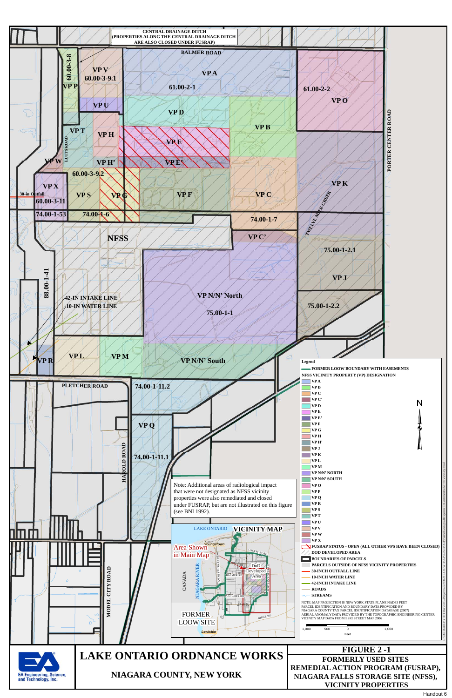

Handout 6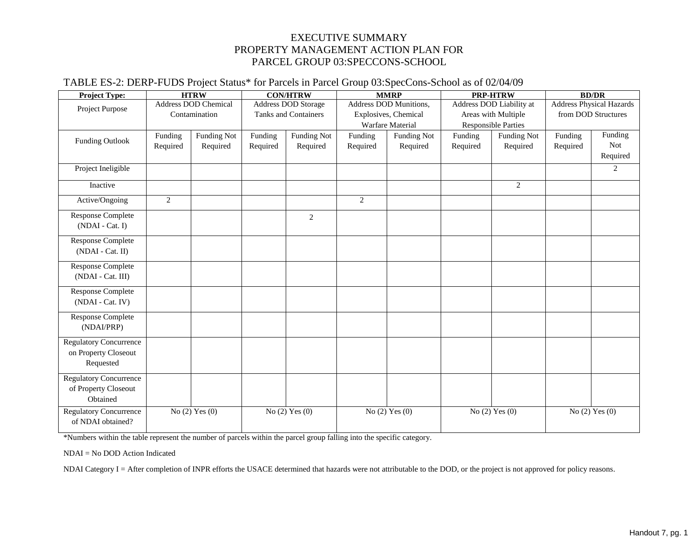#### EXECUTIVE SUMMARY PROPERTY MANAGEMENT ACTION PLAN FOR PARCEL GROUP 03:SPECCONS-SCHOOL

#### TABLE ES-2: DERP-FUDS Project Status\* for Parcels in Parcel Group 03:SpecCons-School as of 02/04/09

| <b>Project Type:</b>                                               |                     | <b>HTRW</b>                                  |                     | <b>CON/HTRW</b>                                           |                     | <b>MMRP</b>                                                        |                     | <b>PRP-HTRW</b>                                              | <b>BD/DR</b>                                           |                            |  |  |  |
|--------------------------------------------------------------------|---------------------|----------------------------------------------|---------------------|-----------------------------------------------------------|---------------------|--------------------------------------------------------------------|---------------------|--------------------------------------------------------------|--------------------------------------------------------|----------------------------|--|--|--|
| Project Purpose                                                    |                     | <b>Address DOD Chemical</b><br>Contamination |                     | <b>Address DOD Storage</b><br><b>Tanks and Containers</b> |                     | Address DOD Munitions,<br>Explosives, Chemical<br>Warfare Material |                     | Address DOD Liability at<br>Areas with Multiple              | <b>Address Physical Hazards</b><br>from DOD Structures |                            |  |  |  |
| Funding Outlook                                                    | Funding<br>Required | <b>Funding Not</b><br>Required               | Funding<br>Required | <b>Funding Not</b><br>Required                            | Funding<br>Required | <b>Funding Not</b><br>Required                                     | Funding<br>Required | <b>Responsible Parties</b><br><b>Funding Not</b><br>Required | Funding<br>Required                                    | Funding<br>Not<br>Required |  |  |  |
| Project Ineligible                                                 |                     |                                              |                     |                                                           |                     |                                                                    |                     |                                                              |                                                        | 2                          |  |  |  |
| Inactive                                                           |                     |                                              |                     |                                                           |                     |                                                                    |                     | $\overline{2}$                                               |                                                        |                            |  |  |  |
| Active/Ongoing                                                     | $\overline{2}$      |                                              |                     |                                                           | $\overline{2}$      |                                                                    |                     |                                                              |                                                        |                            |  |  |  |
| <b>Response Complete</b><br>(NDAI - Cat. I)                        |                     |                                              |                     | 2                                                         |                     |                                                                    |                     |                                                              |                                                        |                            |  |  |  |
| <b>Response Complete</b><br>(NDAI - Cat. II)                       |                     |                                              |                     |                                                           |                     |                                                                    |                     |                                                              |                                                        |                            |  |  |  |
| <b>Response Complete</b><br>(NDAI - Cat. III)                      |                     |                                              |                     |                                                           |                     |                                                                    |                     |                                                              |                                                        |                            |  |  |  |
| <b>Response Complete</b><br>(NDAI - Cat. IV)                       |                     |                                              |                     |                                                           |                     |                                                                    |                     |                                                              |                                                        |                            |  |  |  |
| <b>Response Complete</b><br>(NDAI/PRP)                             |                     |                                              |                     |                                                           |                     |                                                                    |                     |                                                              |                                                        |                            |  |  |  |
| <b>Regulatory Concurrence</b><br>on Property Closeout<br>Requested |                     |                                              |                     |                                                           |                     |                                                                    |                     |                                                              |                                                        |                            |  |  |  |
| <b>Regulatory Concurrence</b><br>of Property Closeout<br>Obtained  |                     |                                              |                     |                                                           |                     |                                                                    |                     |                                                              |                                                        |                            |  |  |  |
| <b>Regulatory Concurrence</b><br>of NDAI obtained?                 |                     | No $(2)$ Yes $(0)$                           |                     | No $(2)$ Yes $(0)$                                        |                     | No $(2)$ Yes $(0)$                                                 |                     | No $(2)$ Yes $(0)$                                           | No $(2)$ Yes $(0)$                                     |                            |  |  |  |

\*Numbers within the table represent the number of parcels within the parcel group falling into the specific category.

NDAI = No DOD Action Indicated

NDAI Category I = After completion of INPR efforts the USACE determined that hazards were not attributable to the DOD, or the project is not approved for policy reasons.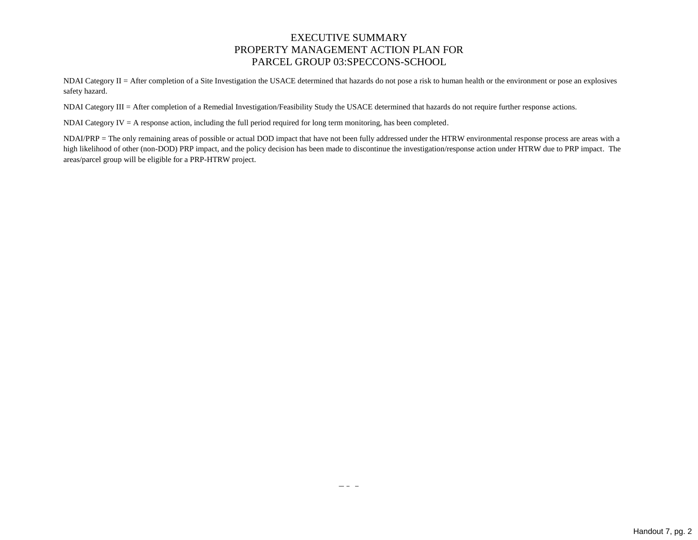#### EXECUTIVE SUMMARY PROPERTY MANAGEMENT ACTION PLAN FOR PARCEL GROUP 03:SPECCONS-SCHOOL

NDAI Category II = After completion of a Site Investigation the USACE determined that hazards do not pose a risk to human health or the environment or pose an explosives safety hazard.

NDAI Category III = After completion of a Remedial Investigation/Feasibility Study the USACE determined that hazards do not require further response actions.

NDAI Category IV = A response action, including the full period required for long term monitoring, has been completed.

NDAI/PRP = The only remaining areas of possible or actual DOD impact that have not been fully addressed under the HTRW environmental response process are areas with a high likelihood of other (non-DOD) PRP impact, and the policy decision has been made to discontinue the investigation/response action under HTRW due to PRP impact. The areas/parcel group will be eligible for a PRP-HTRW project.